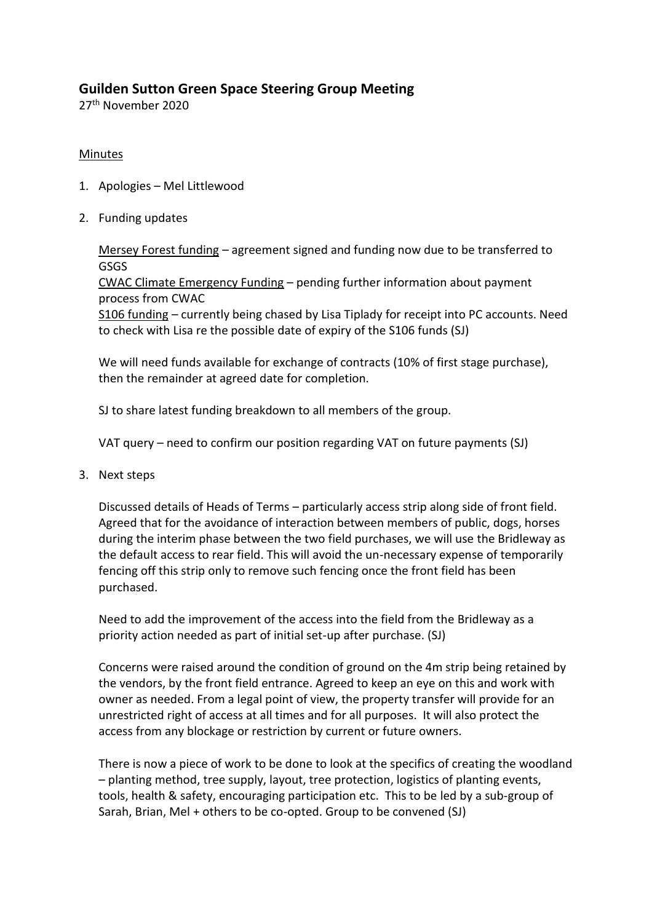## **Guilden Sutton Green Space Steering Group Meeting**

27<sup>th</sup> November 2020

## Minutes

- 1. Apologies Mel Littlewood
- 2. Funding updates

Mersey Forest funding – agreement signed and funding now due to be transferred to **GSGS** 

CWAC Climate Emergency Funding – pending further information about payment process from CWAC

S106 funding – currently being chased by Lisa Tiplady for receipt into PC accounts. Need to check with Lisa re the possible date of expiry of the S106 funds (SJ)

We will need funds available for exchange of contracts (10% of first stage purchase), then the remainder at agreed date for completion.

SJ to share latest funding breakdown to all members of the group.

VAT query – need to confirm our position regarding VAT on future payments (SJ)

3. Next steps

Discussed details of Heads of Terms – particularly access strip along side of front field. Agreed that for the avoidance of interaction between members of public, dogs, horses during the interim phase between the two field purchases, we will use the Bridleway as the default access to rear field. This will avoid the un-necessary expense of temporarily fencing off this strip only to remove such fencing once the front field has been purchased.

Need to add the improvement of the access into the field from the Bridleway as a priority action needed as part of initial set-up after purchase. (SJ)

Concerns were raised around the condition of ground on the 4m strip being retained by the vendors, by the front field entrance. Agreed to keep an eye on this and work with owner as needed. From a legal point of view, the property transfer will provide for an unrestricted right of access at all times and for all purposes. It will also protect the access from any blockage or restriction by current or future owners.

There is now a piece of work to be done to look at the specifics of creating the woodland – planting method, tree supply, layout, tree protection, logistics of planting events, tools, health & safety, encouraging participation etc. This to be led by a sub-group of Sarah, Brian, Mel + others to be co-opted. Group to be convened (SJ)